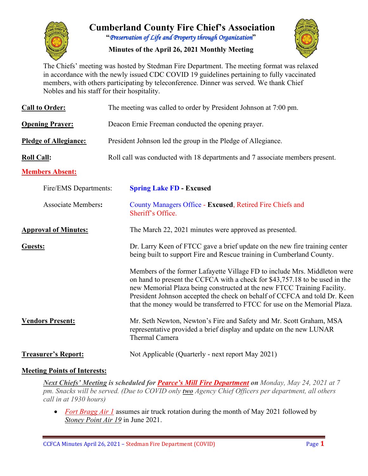

# **Cumberland County Fire Chief's Association "***Preservation of Life and Property through Organization***"**

**Minutes of the April 26, 2021 Monthly Meeting**



The Chiefs' meeting was hosted by Stedman Fire Department. The meeting format was relaxed in accordance with the newly issued CDC COVID 19 guidelines pertaining to fully vaccinated members, with others participating by teleconference. Dinner was served. We thank Chief Nobles and his staff for their hospitality.

| <b>Call to Order:</b>        | The meeting was called to order by President Johnson at 7:00 pm.                                                                                                                                                                                                                                                                                                                               |  |  |  |  |  |  |  |
|------------------------------|------------------------------------------------------------------------------------------------------------------------------------------------------------------------------------------------------------------------------------------------------------------------------------------------------------------------------------------------------------------------------------------------|--|--|--|--|--|--|--|
| <b>Opening Prayer:</b>       | Deacon Ernie Freeman conducted the opening prayer.                                                                                                                                                                                                                                                                                                                                             |  |  |  |  |  |  |  |
| <b>Pledge of Allegiance:</b> | President Johnson led the group in the Pledge of Allegiance.                                                                                                                                                                                                                                                                                                                                   |  |  |  |  |  |  |  |
| <b>Roll Call:</b>            | Roll call was conducted with 18 departments and 7 associate members present.                                                                                                                                                                                                                                                                                                                   |  |  |  |  |  |  |  |
| <b>Members Absent:</b>       |                                                                                                                                                                                                                                                                                                                                                                                                |  |  |  |  |  |  |  |
| Fire/EMS Departments:        | <b>Spring Lake FD - Excused</b>                                                                                                                                                                                                                                                                                                                                                                |  |  |  |  |  |  |  |
| <b>Associate Members:</b>    | County Managers Office - Excused, Retired Fire Chiefs and<br>Sheriff's Office.                                                                                                                                                                                                                                                                                                                 |  |  |  |  |  |  |  |
| <b>Approval of Minutes:</b>  | The March 22, 2021 minutes were approved as presented.                                                                                                                                                                                                                                                                                                                                         |  |  |  |  |  |  |  |
| Guests:                      | Dr. Larry Keen of FTCC gave a brief update on the new fire training center<br>being built to support Fire and Rescue training in Cumberland County.                                                                                                                                                                                                                                            |  |  |  |  |  |  |  |
|                              | Members of the former Lafayette Village FD to include Mrs. Middleton were<br>on hand to present the CCFCA with a check for \$43,757.18 to be used in the<br>new Memorial Plaza being constructed at the new FTCC Training Facility.<br>President Johnson accepted the check on behalf of CCFCA and told Dr. Keen<br>that the money would be transferred to FTCC for use on the Memorial Plaza. |  |  |  |  |  |  |  |
| <b>Vendors Present:</b>      | Mr. Seth Newton, Newton's Fire and Safety and Mr. Scott Graham, MSA<br>representative provided a brief display and update on the new LUNAR<br>Thermal Camera                                                                                                                                                                                                                                   |  |  |  |  |  |  |  |
| <b>Treasurer's Report:</b>   | Not Applicable (Quarterly - next report May 2021)                                                                                                                                                                                                                                                                                                                                              |  |  |  |  |  |  |  |

## **Meeting Points of Interests:**

*Next Chiefs' Meeting is scheduled for Pearce's Mill Fire Department on Monday, May 24, 2021 at 7 pm. Snacks will be served. (Due to COVID only two Agency Chief Officers per department, all others call in at 1930 hours)*

• *Fort Bragg Air 1* assumes air truck rotation during the month of May 2021 followed by *Stoney Point Air 19* in June 2021.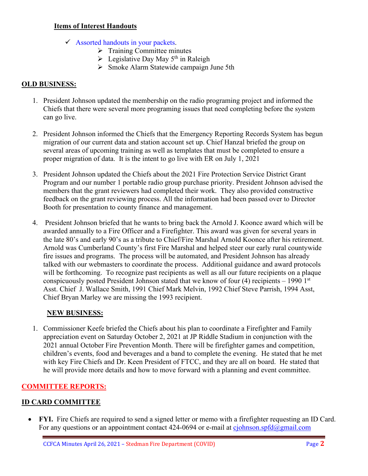#### **Items of Interest Handouts**

- $\checkmark$  Assorted handouts in your packets.
	- $\triangleright$  Training Committee minutes
	- $\triangleright$  Legislative Day May 5<sup>th</sup> in Raleigh
	- Smoke Alarm Statewide campaign June 5th

## **OLD BUSINESS:**

- 1. President Johnson updated the membership on the radio programing project and informed the Chiefs that there were several more programing issues that need completing before the system can go live.
- 2. President Johnson informed the Chiefs that the Emergency Reporting Records System has begun migration of our current data and station account set up. Chief Hanzal briefed the group on several areas of upcoming training as well as templates that must be completed to ensure a proper migration of data. It is the intent to go live with ER on July 1, 2021
- 3. President Johnson updated the Chiefs about the 2021 Fire Protection Service District Grant Program and our number 1 portable radio group purchase priority. President Johnson advised the members that the grant reviewers had completed their work. They also provided constructive feedback on the grant reviewing process. All the information had been passed over to Director Booth for presentation to county finance and management.
- 4. President Johnson briefed that he wants to bring back the Arnold J. Koonce award which will be awarded annually to a Fire Officer and a Firefighter. This award was given for several years in the late 80's and early 90's as a tribute to Chief/Fire Marshal Arnold Koonce after his retirement. Arnold was Cumberland County's first Fire Marshal and helped steer our early rural countywide fire issues and programs. The process will be automated, and President Johnson has already talked with our webmasters to coordinate the process. Additional guidance and award protocols will be forthcoming. To recognize past recipients as well as all our future recipients on a plaque conspicuously posted President Johnson stated that we know of four  $(4)$  recipients – 1990 1st Asst. Chief J. Wallace Smith, 1991 Chief Mark Melvin, 1992 Chief Steve Parrish, 1994 Asst, Chief Bryan Marley we are missing the 1993 recipient.

#### **NEW BUSINESS:**

1. Commissioner Keefe briefed the Chiefs about his plan to coordinate a Firefighter and Family appreciation event on Saturday October 2, 2021 at JP Riddle Stadium in conjunction with the 2021 annual October Fire Prevention Month. There will be firefighter games and competition, children's events, food and beverages and a band to complete the evening. He stated that he met with key Fire Chiefs and Dr. Keen President of FTCC, and they are all on board. He stated that he will provide more details and how to move forward with a planning and event committee.

# **COMMITTEE REPORTS:**

## **ID CARD COMMITTEE**

• **FYI.** Fire Chiefs are required to send a signed letter or memo with a firefighter requesting an ID Card. For any questions or an appointment contact 424-0694 or e-mail at [cjohnson.spfd@gmail.com](mailto:cjohnson.spfd@gmail.com)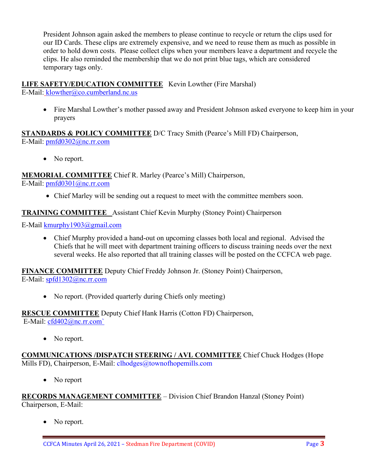President Johnson again asked the members to please continue to recycle or return the clips used for our ID Cards. These clips are extremely expensive, and we need to reuse them as much as possible in order to hold down costs. Please collect clips when your members leave a department and recycle the clips. He also reminded the membership that we do not print blue tags, which are considered temporary tags only.

# **LIFE SAFETY/EDUCATION COMMITTEE** Kevin Lowther (Fire Marshal)

E-Mail: [klowther@co.cumberland.nc.us](mailto:klowther@co.cumberland.nc.us)

• Fire Marshal Lowther's mother passed away and President Johnson asked everyone to keep him in your prayers

**STANDARDS & POLICY COMMITTEE** D/C Tracy Smith (Pearce's Mill FD) Chairperson, E-Mail: [pmfd0302@nc.rr.com](mailto:pmfd0302@nc.rr.com)

• No report.

**MEMORIAL COMMITTEE** Chief R. Marley (Pearce's Mill) Chairperson,

E-Mail: [pmfd0301@nc.rr.com](mailto:pmfd0301@nc.rr.com)

• Chief Marley will be sending out a request to meet with the committee members soon.

## **TRAINING COMMITTEE** Assistant Chief Kevin Murphy (Stoney Point) Chairperson

E-Mail [kmurphy1903@gmail.com](mailto:kmurphy1903@gmail.com)

• Chief Murphy provided a hand-out on upcoming classes both local and regional. Advised the Chiefs that he will meet with department training officers to discuss training needs over the next several weeks. He also reported that all training classes will be posted on the CCFCA web page.

**FINANCE COMMITTEE** Deputy Chief Freddy Johnson Jr. (Stoney Point) Chairperson, E-Mail: [spfd1302@nc.rr.com](mailto:spfd1302@nc.rr.com)

• No report. (Provided quarterly during Chiefs only meeting)

**RESCUE COMMITTEE** Deputy Chief Hank Harris (Cotton FD) Chairperson,

E-Mail: [cfd402@nc.rr.com`](mailto:cfd402@nc.rr.com)

• No report.

**COMMUNICATIONS /DISPATCH STEERING / AVL COMMITTEE** Chief Chuck Hodges (Hope Mills FD), Chairperson, E-Mail: clhodges@townofhopemills.com

• No report

**RECORDS MANAGEMENT COMMITTEE** – Division Chief Brandon Hanzal (Stoney Point) Chairperson, E-Mail:

• No report.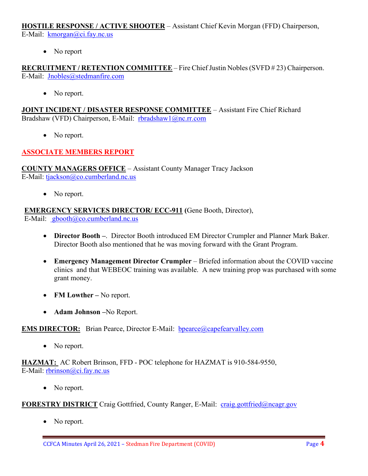**HOSTILE RESPONSE / ACTIVE SHOOTER** – Assistant Chief Kevin Morgan (FFD) Chairperson, E-Mail: [kmorgan@ci.fay.nc.us](mailto:kmorgan@ci.fay.nc.us)

• No report

**RECRUITMENT / RETENTION COMMITTEE** – Fire Chief Justin Nobles (SVFD # 23) Chairperson. E-Mail: [Jnobles@stedmanfire.com](mailto:Jnobles@stedmanfire.com)

• No report.

**JOINT INCIDENT / DISASTER RESPONSE COMMITTEE** – Assistant Fire Chief Richard Bradshaw (VFD) Chairperson, E-Mail: [rbradshaw1@nc.rr.com](mailto:rbradshaw1@nc.rr.com)

• No report.

## **ASSOCIATE MEMBERS REPORT**

**COUNTY MANAGERS OFFICE** – Assistant County Manager Tracy Jackson E-Mail: [tjackson@co.cumberland.nc.us](mailto:tjackson@co.cumberland.nc.us)

• No report.

**EMERGENCY SERVICES DIRECTOR/ ECC-911 (**Gene Booth, Director),

E-Mail: [gbooth@co.cumberland.nc.us](mailto:gbooth@co.cumberland.nc.us)

- **Director Booth –**. Director Booth introduced EM Director Crumpler and Planner Mark Baker. Director Booth also mentioned that he was moving forward with the Grant Program.
- **Emergency Management Director Crumpler** Briefed information about the COVID vaccine clinics and that WEBEOC training was available. A new training prop was purchased with some grant money.
- **FM Lowther –** No report.
- **Adam Johnson –**No Report.

#### **EMS DIRECTOR:** Brian Pearce, Director E-Mail: bpearce@capefearvalley.com

• No report.

**HAZMAT:** AC Robert Brinson, FFD - POC telephone for HAZMAT is 910-584-9550, E-Mail: [rbrinson@ci.fay.nc.us](mailto:rbrinson@ci.fay.nc.us)

• No report.

#### **FORESTRY DISTRICT** Craig Gottfried, County Ranger, E-Mail: [craig.gottfried@ncagr.gov](mailto:craig.gottfried@ncagr.gov)

• No report.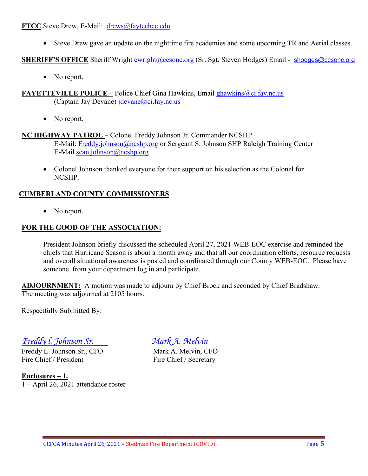#### **FTCC** Steve Drew, E-Mail: [drews@faytechcc.edu](mailto:drews@faytechcc.edu)

• Steve Drew gave an update on the nighttime fire academies and some upcoming TR and Aerial classes.

**SHERIFF'S OFFICE** Sheriff Wright [ewright@ccsonc.org](mailto:ewright@ccsonc.org) (Sr. Sgt. Steven Hodges) Email - [shodges@ccsonc.org](mailto:shodges@ccsonc.org)

• No report.

**FAYETTEVILLE POLICE –** Police Chief Gina Hawkins, Email ghawkins@ci.fay.nc.us (Captain Jay Devane)  $idevane@ci.fay.nc.us$ 

• No report.

## **NC HIGHWAY PATROL** – Colonel Freddy Johnson Jr. Commander NCSHP.

E-Mail: [Freddy.johnson@ncshp.org](mailto:Freddy.johnson@ncshp.org) or Sergeant S. Johnson SHP Raleigh Training Center E-Mail [sean.johnson@ncshp.org](mailto:sean.johnson@ncshp.org)

• Colonel Johnson thanked everyone for their support on his selection as the Colonel for NCSHP.

## **CUMBERLAND COUNTY COMMISSIONERS**

• No report.

## **FOR THE GOOD OF THE ASSOCIATION:**

President Johnson briefly discussed the scheduled April 27, 2021 WEB-EOC exercise and reminded the chiefs that Hurricane Season is about a month away and that all our coordination efforts, resource requests and overall situational awareness is posted and coordinated through our County WEB-EOC. Please have someone from your department log in and participate.

**ADJOURNMENT:** A motion was made to adjourn by Chief Brock and seconded by Chief Bradshaw. The meeting was adjourned at 2105 hours.

Respectfully Submitted By:

# *Freddy l. Johnson Sr. Mark A. Melvin*

Freddy L. Johnson Sr., CFO Mark A. Melvin, CFO Fire Chief / President Fire Chief / Secretary

**Enclosures – 1.** 1 – April 26, 2021 attendance roster